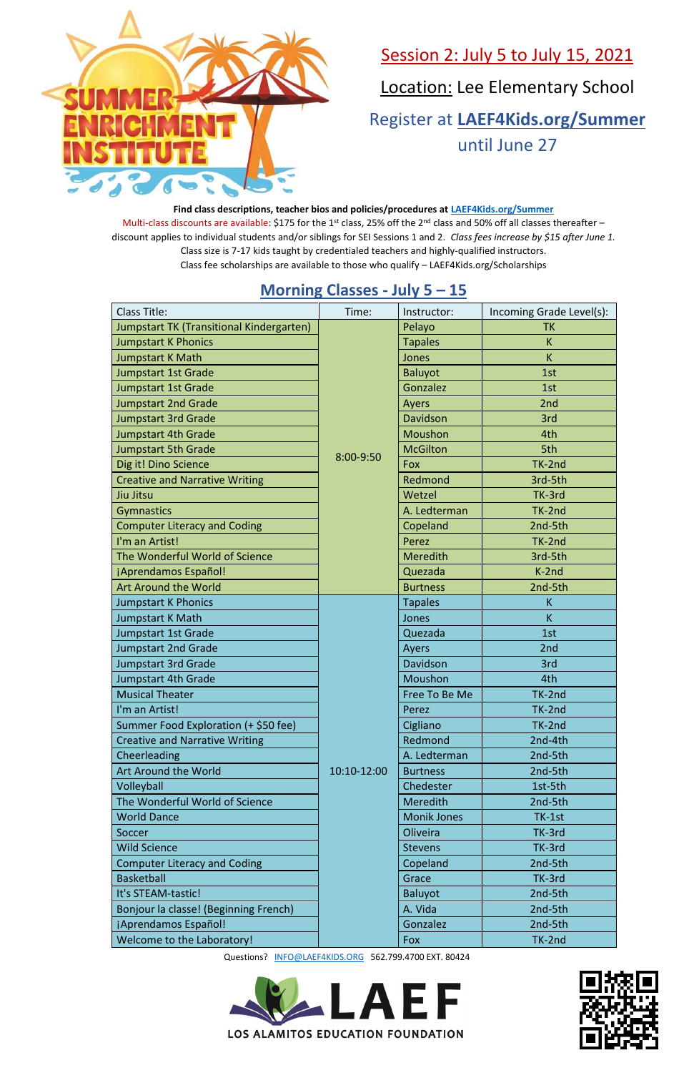

#### Session 2: July 5 to July 15, 2021

Location: Lee Elementary School

Questions? [INFO@LAEF4KIDS.ORG](mailto:INFO@LAEF4KIDS.ORG) 562.799.4700 EXT. 80424





Register at **[LAEF4Kids.org/Summer](https://laef4kids.org/summer/)** until June 27

#### **Find class descriptions, teacher bios and policies/procedures at [LAEF4Kids.org/Summer](https://laef4kids.org/summer/)** Multi-class discounts are available: \$175 for the 1<sup>st</sup> class, 25% off the 2<sup>nd</sup> class and 50% off all classes thereafter – discount applies to individual students and/or siblings for SEI Sessions 1 and 2. *Class fees increase by \$15 after June 1.* Class size is 7-17 kids taught by credentialed teachers and highly-qualified instructors. Class fee scholarships are available to those who qualify – LAEF4Kids.org/Scholarships

#### **Morning Classes - July 5 – 15**

| worring clusses                                 |             | $J \cup I$<br>--   |                          |
|-------------------------------------------------|-------------|--------------------|--------------------------|
| <b>Class Title:</b>                             | Time:       | Instructor:        | Incoming Grade Level(s): |
| <b>Jumpstart TK (Transitional Kindergarten)</b> | 8:00-9:50   | Pelayo             | <b>TK</b>                |
| <b>Jumpstart K Phonics</b>                      |             | <b>Tapales</b>     | K                        |
| <b>Jumpstart K Math</b>                         |             | Jones              | K                        |
| <b>Jumpstart 1st Grade</b>                      |             | <b>Baluyot</b>     | 1st                      |
| <b>Jumpstart 1st Grade</b>                      |             | Gonzalez           | 1st                      |
| <b>Jumpstart 2nd Grade</b>                      |             | <b>Ayers</b>       | 2nd                      |
| <b>Jumpstart 3rd Grade</b>                      |             | Davidson           | 3rd                      |
| <b>Jumpstart 4th Grade</b>                      |             | Moushon            | 4th                      |
| <b>Jumpstart 5th Grade</b>                      |             | <b>McGilton</b>    | 5th                      |
| Dig it! Dino Science                            |             | <b>Fox</b>         | TK-2nd                   |
| <b>Creative and Narrative Writing</b>           |             | Redmond            | 3rd-5th                  |
| Jiu Jitsu                                       |             | Wetzel             | TK-3rd                   |
| <b>Gymnastics</b>                               |             | A. Ledterman       | TK-2nd                   |
| <b>Computer Literacy and Coding</b>             |             | Copeland           | 2nd-5th                  |
| I'm an Artist!                                  |             | Perez              | TK-2nd                   |
| The Wonderful World of Science                  |             | <b>Meredith</b>    | 3rd-5th                  |
| ¡Aprendamos Español!                            |             | Quezada            | K-2nd                    |
| <b>Art Around the World</b>                     |             | <b>Burtness</b>    | 2nd-5th                  |
| <b>Jumpstart K Phonics</b>                      |             | <b>Tapales</b>     | K                        |
| Jumpstart K Math                                |             | Jones              | K                        |
| Jumpstart 1st Grade                             |             | Quezada            | 1st                      |
| <b>Jumpstart 2nd Grade</b>                      | 10:10-12:00 | <b>Ayers</b>       | 2nd                      |
| <b>Jumpstart 3rd Grade</b>                      |             | Davidson           | 3rd                      |
| Jumpstart 4th Grade                             |             | Moushon            | 4th                      |
| <b>Musical Theater</b>                          |             | Free To Be Me      | TK-2nd                   |
| I'm an Artist!                                  |             | Perez              | TK-2nd                   |
| Summer Food Exploration (+ \$50 fee)            |             | Cigliano           | TK-2nd                   |
| <b>Creative and Narrative Writing</b>           |             | Redmond            | 2nd-4th                  |
| Cheerleading                                    |             | A. Ledterman       | 2nd-5th                  |
| Art Around the World                            |             | <b>Burtness</b>    | 2nd-5th                  |
| Volleyball                                      |             | Chedester          | 1st-5th                  |
| The Wonderful World of Science                  |             | Meredith           | 2nd-5th                  |
| <b>World Dance</b>                              |             | <b>Monik Jones</b> | TK-1st                   |
| Soccer                                          |             | Oliveira           | TK-3rd                   |
| <b>Wild Science</b>                             |             | <b>Stevens</b>     | TK-3rd                   |
| <b>Computer Literacy and Coding</b>             |             | Copeland           | 2nd-5th                  |
| <b>Basketball</b>                               |             | Grace              | TK-3rd                   |
| It's STEAM-tastic!                              |             | <b>Baluyot</b>     | 2nd-5th                  |
| Bonjour la classe! (Beginning French)           |             | A. Vida            | 2nd-5th                  |
| ¡Aprendamos Español!                            |             | Gonzalez           | 2nd-5th                  |
| Welcome to the Laboratory!                      |             | <b>Fox</b>         | TK-2nd                   |